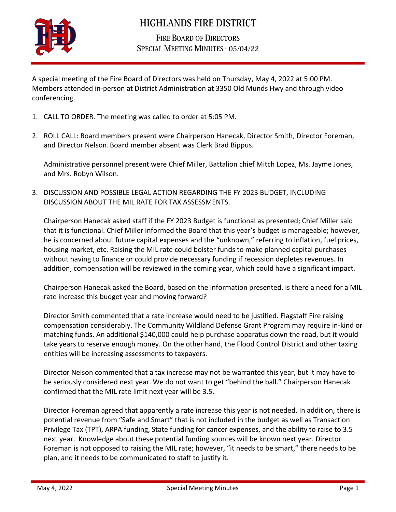

## **HIGHLANDS FIRE DISTRICT**

**FIRE BOARD OF DIRECTORS** SPECIAL MEETING MINUTES · 05/04/22

A special meeting of the Fire Board of Directors was held on Thursday, May 4, 2022 at 5:00 PM. Members attended in-person at District Administration at 3350 Old Munds Hwy and through video conferencing.

- 1. CALL TO ORDER. The meeting was called to order at 5:05 PM.
- 2. ROLL CALL: Board members present were Chairperson Hanecak, Director Smith, Director Foreman, and Director Nelson. Board member absent was Clerk Brad Bippus.

Administrative personnel present were Chief Miller, Battalion chief Mitch Lopez, Ms. Jayme Jones, and Mrs. Robyn Wilson.

3. DISCUSSION AND POSSIBLE LEGAL ACTION REGARDING THE FY 2023 BUDGET, INCLUDING DISCUSSION ABOUT THE MIL RATE FOR TAX ASSESSMENTS.

Chairperson Hanecak asked staff if the FY 2023 Budget is functional as presented; Chief Miller said that it is functional. Chief Miller informed the Board that this year's budget is manageable; however, he is concerned about future capital expenses and the "unknown," referring to inflation, fuel prices, housing market, etc. Raising the MIL rate could bolster funds to make planned capital purchases without having to finance or could provide necessary funding if recession depletes revenues. In addition, compensation will be reviewed in the coming year, which could have a significant impact.

Chairperson Hanecak asked the Board, based on the information presented, is there a need for a MIL rate increase this budget year and moving forward?

Director Smith commented that a rate increase would need to be justified. Flagstaff Fire raising compensation considerably. The Community Wildland Defense Grant Program may require in-kind or matching funds. An additional \$140,000 could help purchase apparatus down the road, but it would take years to reserve enough money. On the other hand, the Flood Control District and other taxing entities will be increasing assessments to taxpayers.

Director Nelson commented that a tax increase may not be warranted this year, but it may have to be seriously considered next year. We do not want to get "behind the ball." Chairperson Hanecak confirmed that the MIL rate limit next year will be 3.5.

Director Foreman agreed that apparently a rate increase this year is not needed. In addition, there is potential revenue from "Safe and Smart" that is not included in the budget as well as Transaction Privilege Tax (TPT), ARPA funding, State funding for cancer expenses, and the ability to raise to 3.5 next year. Knowledge about these potential funding sources will be known next year. Director Foreman is not opposed to raising the MIL rate; however, "it needs to be smart," there needs to be plan, and it needs to be communicated to staff to justify it.